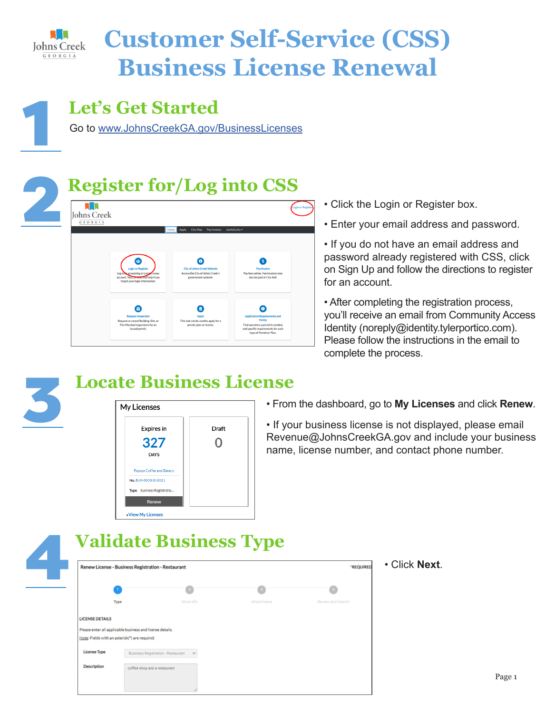

## **Customer Self-Service (CSS) Business License Renewal**

### **Let's Get Started**

1 Go to www.JohnsCreekGA.gov/BusinessLicenses

# 2 **Register for/Log into CSS**



- Click the Login or Register box.
- Enter your email address and password.
- If you do not have an email address and password already registered with CSS, click on Sign Up and follow the directions to register for an account.

• After completing the registration process, you'll receive an email from Community Access Identity (noreply@identity.tylerportico.com). Please follow the instructions in the email to complete the process.





• From the dashboard, go to **My Licenses** and click **Renew**.

• If your business license is not displayed, please email Revenue@JohnsCreekGA.gov and include your business name, license number, and contact phone number.



#### 4 **Validate Business Type**

| Renew License - Business Registration - Restaurant<br>*REQUIRED |                                                |           |             |                   |  |  |
|-----------------------------------------------------------------|------------------------------------------------|-----------|-------------|-------------------|--|--|
|                                                                 |                                                |           |             |                   |  |  |
|                                                                 | Type                                           | More Info | Attachments | Review and Submit |  |  |
| <b>LICENSE DETAILS</b>                                          |                                                |           |             |                   |  |  |
| Please enter all applicable business and license details.       |                                                |           |             |                   |  |  |
|                                                                 |                                                |           |             |                   |  |  |
|                                                                 | Note: Fields with an asterisk(*) are required. |           |             |                   |  |  |
| License Type                                                    | Business Registration - Restaurant v           |           |             |                   |  |  |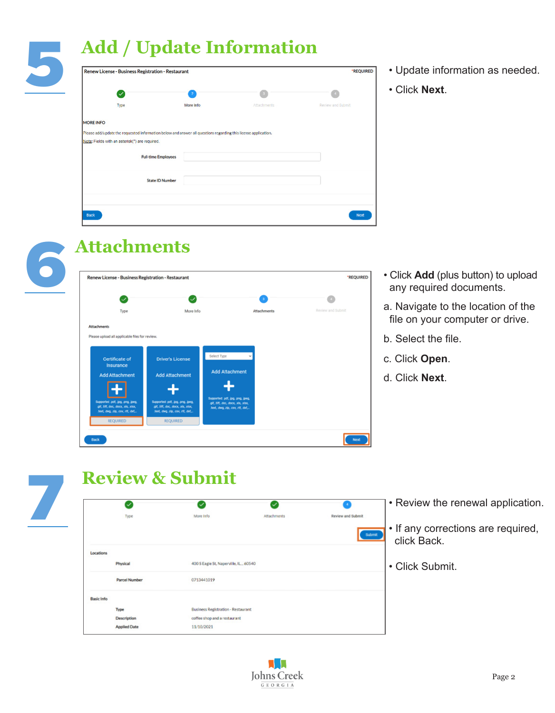### 5 **Add / Update Information**

| Renew License - Business Registration - Restaurant                                                                                                               | *REQUIRED      |             |                   |
|------------------------------------------------------------------------------------------------------------------------------------------------------------------|----------------|-------------|-------------------|
| $\backsim$                                                                                                                                                       | $\overline{2}$ |             |                   |
| Type                                                                                                                                                             | More Info      | Attachments | Review and Submit |
| <b>MORE INFO</b>                                                                                                                                                 |                |             |                   |
| Please add/update the requested information below and answer all questions regarding this license application.<br>Note: Fields with an asterisk(") are required. |                |             |                   |
| <b>Full-time Employees</b>                                                                                                                                       |                |             |                   |
| <b>State ID Number</b>                                                                                                                                           |                |             |                   |
|                                                                                                                                                                  |                |             |                   |
| Back                                                                                                                                                             |                |             | Next              |

- Update information as needed.
- Click **Next**.

- Click **Add** (plus button) to upload any required documents.
- a. Navigate to the location of the file on your computer or drive.
- b. Select the file.
- c. Click **Open**.
- d. Click **Next**.







# **Review & Submit**

|                   | $\checkmark$         | ✓                                         | $\checkmark$ |                                    | • Review the renewal application.                 |
|-------------------|----------------------|-------------------------------------------|--------------|------------------------------------|---------------------------------------------------|
|                   | Type                 | More Info                                 | Attachments  | <b>Review and Submit</b><br>Submit | • If any corrections are required,<br>click Back. |
| Locations         |                      |                                           |              |                                    |                                                   |
|                   | Physical             | 400 S Eagle St, Naperville, IL., 60540    |              |                                    | • Click Submit.                                   |
|                   | <b>Parcel Number</b> | 0713441019                                |              |                                    |                                                   |
| <b>Basic Info</b> |                      |                                           |              |                                    |                                                   |
|                   | Type                 | <b>Business Registration - Restaurant</b> |              |                                    |                                                   |
|                   | Description          | coffee shop and a restaurant              |              |                                    |                                                   |
|                   | <b>Applied Date</b>  | 11/10/2021                                |              |                                    |                                                   |